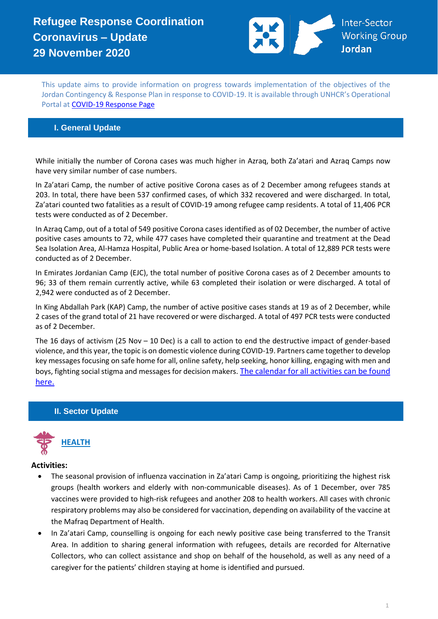# **Refugee Response Coordination Coronavirus – Update 29 November 2020**



This update aims to provide information on progress towards implementation of the objectives of the Jordan Contingency & Response Plan in response to COVID-19. It is available through UNHCR's Operational Portal a[t COVID-19 Response Page](https://eur02.safelinks.protection.outlook.com/?url=https%3A%2F%2Fdata2.unhcr.org%2Fen%2Fworking-group%2F251%3Fsv%3D4%26geo%3D36&data=02%7C01%7Cbyunc%40unhcr.org%7C0621d0ad56f141cfe71708d7d3d2dc45%7Ce5c37981666441348a0c6543d2af80be%7C0%7C0%7C637210774895002030&sdata=aPEtg5vDIBj3A4AWkO5sOLo7pACA7Q8cjR8bwQyAa8c%3D&reserved=0)

## **I. General Update**

While initially the number of Corona cases was much higher in Azraq, both Za'atari and Azraq Camps now have very similar number of case numbers.

In Za'atari Camp, the number of active positive Corona cases as of 2 December among refugees stands at 203. In total, there have been 537 confirmed cases, of which 332 recovered and were discharged. In total, Za'atari counted two fatalities as a result of COVID-19 among refugee camp residents. A total of 11,406 PCR tests were conducted as of 2 December.

In Azraq Camp, out of a total of 549 positive Corona cases identified as of 02 December, the number of active positive cases amounts to 72, while 477 cases have completed their quarantine and treatment at the Dead Sea Isolation Area, Al-Hamza Hospital, Public Area or home-based Isolation. A total of 12,889 PCR tests were conducted as of 2 December.

In Emirates Jordanian Camp (EJC), the total number of positive Corona cases as of 2 December amounts to 96; 33 of them remain currently active, while 63 completed their isolation or were discharged. A total of 2,942 were conducted as of 2 December.

In King Abdallah Park (KAP) Camp, the number of active positive cases stands at 19 as of 2 December, while 2 cases of the grand total of 21 have recovered or were discharged. A total of 497 PCR tests were conducted as of 2 December.

The 16 days of activism (25 Nov – 10 Dec) is a call to action to end the destructive impact of gender-based violence, and this year, the topic is on domestic violence during COVID-19. Partners came together to develop key messages focusing on safe home for all, online safety, help seeking, honor killing, engaging with men and boys, fighting social stigma and messages for decision makers. The calendar for all [activities can be found](https://data2.unhcr.org/en/documents/details/83340)  [here.](https://data2.unhcr.org/en/documents/details/83340)

#### **II. Sector Update**



- The seasonal provision of influenza vaccination in Za'atari Camp is ongoing, prioritizing the highest risk groups (health workers and elderly with non-communicable diseases). As of 1 December, over 785 vaccines were provided to high-risk refugees and another 208 to health workers. All cases with chronic respiratory problems may also be considered for vaccination, depending on availability of the vaccine at the Mafraq Department of Health.
- In Za'atari Camp, counselling is ongoing for each newly positive case being transferred to the Transit Area. In addition to sharing general information with refugees, details are recorded for Alternative Collectors, who can collect assistance and shop on behalf of the household, as well as any need of a caregiver for the patients' children staying at home is identified and pursued.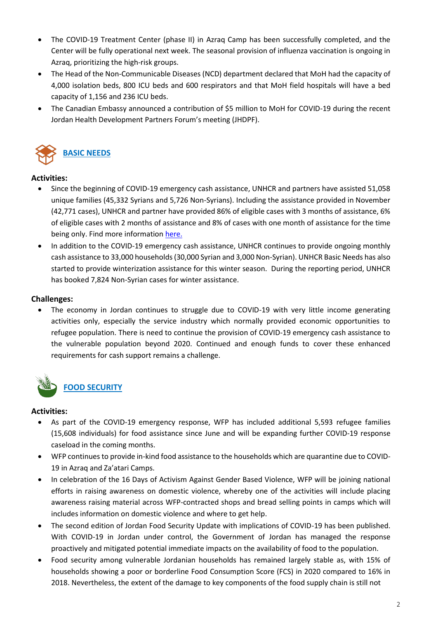- The COVID-19 Treatment Center (phase II) in Azraq Camp has been successfully completed, and the Center will be fully operational next week. The seasonal provision of influenza vaccination is ongoing in Azraq, prioritizing the high-risk groups.
- The Head of the Non-Communicable Diseases (NCD) department declared that MoH had the capacity of 4,000 isolation beds, 800 ICU beds and 600 respirators and that MoH field hospitals will have a bed capacity of 1,156 and 236 ICU beds.
- The Canadian Embassy announced a contribution of \$5 million to MoH for COVID-19 during the recent Jordan Health Development Partners Forum's meeting (JHDPF).



#### **Activities:**

- Since the beginning of COVID-19 emergency cash assistance, UNHCR and partners have assisted 51,058 unique families (45,332 Syrians and 5,726 Non-Syrians). Including the assistance provided in November (42,771 cases), UNHCR and partner have provided 86% of eligible cases with 3 months of assistance, 6% of eligible cases with 2 months of assistance and 8% of cases with one month of assistance for the time being only. Find more informatio[n here.](https://eur02.safelinks.protection.outlook.com/?url=https%3A%2F%2Fapp.powerbi.com%2Fview%3Fr%3DeyJrIjoiODhkYzhlMzMtNmRlMS00NTljLTllMTAtYTRkYWIzMmJlZDMwIiwidCI6ImU1YzM3OTgxLTY2NjQtNDEzNC04YTBjLTY1NDNkMmFmODBiZSIsImMiOjh9&data=04%7C01%7Ckrishnam%40unhcr.org%7C9424010ce9a24d26561b08d8978e0d97%7Ce5c37981666441348a0c6543d2af80be%7C0%7C0%7C637425983654831318%7CUnknown%7CTWFpbGZsb3d8eyJWIjoiMC4wLjAwMDAiLCJQIjoiV2luMzIiLCJBTiI6Ik1haWwiLCJXVCI6Mn0%3D%7C1000&sdata=NUk8zvDrbrg7rcpUUriNbmoOSZS1GVbibb16LFS4yGE%3D&reserved=0)
- In addition to the COVID-19 emergency cash assistance, UNHCR continues to provide ongoing monthly cash assistance to 33,000 households (30,000 Syrian and 3,000 Non-Syrian). UNHCR Basic Needs has also started to provide winterization assistance for this winter season. During the reporting period, UNHCR has booked 7,824 Non-Syrian cases for winter assistance.

#### **Challenges:**

• The economy in Jordan continues to struggle due to COVID-19 with very little income generating activities only, especially the service industry which normally provided economic opportunities to refugee population. There is need to continue the provision of COVID-19 emergency cash assistance to the vulnerable population beyond 2020. Continued and enough funds to cover these enhanced requirements for cash support remains a challenge.



- As part of the COVID-19 emergency response, WFP has included additional 5,593 refugee families (15,608 individuals) for food assistance since June and will be expanding further COVID-19 response caseload in the coming months.
- WFP continues to provide in-kind food assistance to the households which are quarantine due to COVID-19 in Azraq and Za'atari Camps.
- In celebration of the 16 Days of Activism Against Gender Based Violence, WFP will be joining national efforts in raising awareness on domestic violence, whereby one of the activities will include placing awareness raising material across WFP-contracted shops and bread selling points in camps which will includes information on domestic violence and where to get help.
- The second edition of Jordan Food Security Update with implications of COVID-19 has been published. With COVID-19 in Jordan under control, the Government of Jordan has managed the response proactively and mitigated potential immediate impacts on the availability of food to the population.
- Food security among vulnerable Jordanian households has remained largely stable as, with 15% of households showing a poor or borderline Food Consumption Score (FCS) in 2020 compared to 16% in 2018. Nevertheless, the extent of the damage to key components of the food supply chain is still not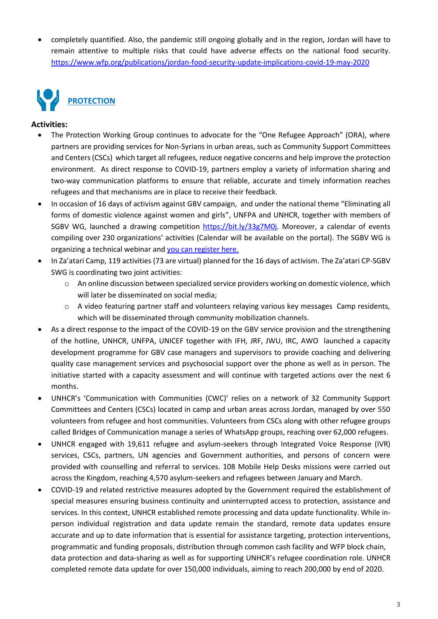• completely quantified. Also, the pandemic still ongoing globally and in the region, Jordan will have to remain attentive to multiple risks that could have adverse effects on the national food security. <https://www.wfp.org/publications/jordan-food-security-update-implications-covid-19-may-2020>



- The Protection Working Group continues to advocate for the "One Refugee Approach" (ORA), where partners are providing services for Non-Syrians in urban areas, such as Community Support Committees and Centers (CSCs) which target all refugees, reduce negative concerns and help improve the protection environment. As direct response to COVID-19, partners employ a variety of information sharing and two-way communication platforms to ensure that reliable, accurate and timely information reaches refugees and that mechanisms are in place to receive their feedback.
- In occasion of 16 days of activism against GBV campaign, and under the national theme "Eliminating all forms of domestic violence against women and girls", UNFPA and UNHCR, together with members of SGBV WG, launched a drawing competition [https://bit.ly/33g7M0j.](https://bit.ly/33g7M0j) Moreover, a calendar of events compiling over 230 organizations' activities (Calendar will be available on the portal). The SGBV WG is organizing a technical webinar and [you can register here.](https://docs.google.com/forms/d/e/1FAIpQLSc0GZi5BG8nP8zmqfplzuoGfpPgy8CNSyzYW2OxGaZgf-9k2w/viewform)
- In Za'atari Camp, 119 activities (73 are virtual) planned for the 16 days of activism. The Za'atari CP-SGBV SWG is coordinating two joint activities:
	- o An online discussion between specialized service providers working on domestic violence, which will later be disseminated on social media;
	- o A video featuring partner staff and volunteers relaying various key messages Camp residents, which will be disseminated through community mobilization channels.
- As a direct response to the impact of the COVID-19 on the GBV service provision and the strengthening of the hotline, UNHCR, UNFPA, UNICEF together with IFH, JRF, JWU, IRC, AWO launched a capacity development programme for GBV case managers and supervisors to provide coaching and delivering quality case management services and psychosocial support over the phone as well as in person. The initiative started with a capacity assessment and will continue with targeted actions over the next 6 months.
- UNHCR's 'Communication with Communities (CWC)' relies on a network of 32 Community Support Committees and Centers (CSCs) located in camp and urban areas across Jordan, managed by over 550 volunteers from refugee and host communities. Volunteers from CSCs along with other refugee groups called Bridges of Communication manage a series of WhatsApp groups, reaching over 62,000 refugees.
- UNHCR engaged with 19,611 refugee and asylum-seekers through Integrated Voice Response (IVR) services, CSCs, partners, UN agencies and Government authorities, and persons of concern were provided with counselling and referral to services. 108 Mobile Help Desks missions were carried out across the Kingdom, reaching 4,570 asylum-seekers and refugees between January and March.
- COVID-19 and related restrictive measures adopted by the Government required the establishment of special measures ensuring business continuity and uninterrupted access to protection, assistance and services. In this context, UNHCR established remote processing and data update functionality. While inperson individual registration and data update remain the standard, remote data updates ensure accurate and up to date information that is essential for assistance targeting, protection interventions, programmatic and funding proposals, distribution through common cash facility and WFP block chain, data protection and data-sharing as well as for supporting UNHCR's refugee coordination role. UNHCR completed remote data update for over 150,000 individuals, aiming to reach 200,000 by end of 2020.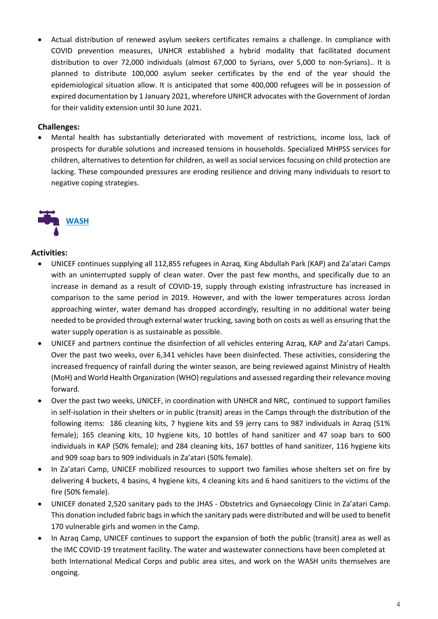• Actual distribution of renewed asylum seekers certificates remains a challenge. In compliance with COVID prevention measures, UNHCR established a hybrid modality that facilitated document distribution to over 72,000 individuals (almost 67,000 to Syrians, over 5,000 to non-Syrians).. It is planned to distribute 100,000 asylum seeker certificates by the end of the year should the epidemiological situation allow. It is anticipated that some 400,000 refugees will be in possession of expired documentation by 1 January 2021, wherefore UNHCR advocates with the Government of Jordan for their validity extension until 30 June 2021.

#### **Challenges:**

• Mental health has substantially deteriorated with movement of restrictions, income loss, lack of prospects for durable solutions and increased tensions in households. Specialized MHPSS services for children, alternatives to detention for children, as well as social services focusing on child protection are lacking. These compounded pressures are eroding resilience and driving many individuals to resort to negative coping strategies.



- UNICEF continues supplying all 112,855 refugees in Azraq, King Abdullah Park (KAP) and Za'atari Camps with an uninterrupted supply of clean water. Over the past few months, and specifically due to an increase in demand as a result of COVID-19, supply through existing infrastructure has increased in comparison to the same period in 2019. However, and with the lower temperatures across Jordan approaching winter, water demand has dropped accordingly, resulting in no additional water being needed to be provided through external water trucking, saving both on costs as well as ensuring that the water supply operation is as sustainable as possible.
- UNICEF and partners continue the disinfection of all vehicles entering Azraq, KAP and Za'atari Camps. Over the past two weeks, over 6,341 vehicles have been disinfected. These activities, considering the increased frequency of rainfall during the winter season, are being reviewed against Ministry of Health (MoH) and World Health Organization (WHO) regulations and assessed regarding their relevance moving forward.
- Over the past two weeks, UNICEF, in coordination with UNHCR and NRC, continued to support families in self-isolation in their shelters or in public (transit) areas in the Camps through the distribution of the following items: 186 cleaning kits, 7 hygiene kits and 59 jerry cans to 987 individuals in Azraq (51% female); 165 cleaning kits, 10 hygiene kits, 10 bottles of hand sanitizer and 47 soap bars to 600 individuals in KAP (50% female); and 284 cleaning kits, 167 bottles of hand sanitizer, 116 hygiene kits and 909 soap bars to 909 individuals in Za'atari (50% female).
- In Za'atari Camp, UNICEF mobilized resources to support two families whose shelters set on fire by delivering 4 buckets, 4 basins, 4 hygiene kits, 4 cleaning kits and 6 hand sanitizers to the victims of the fire (50% female).
- UNICEF donated 2,520 sanitary pads to the JHAS Obstetrics and Gynaecology Clinic in Za'atari Camp. This donation included fabric bags in which the sanitary pads were distributed and will be used to benefit 170 vulnerable girls and women in the Camp.
- In Azraq Camp, UNICEF continues to support the expansion of both the public (transit) area as well as the IMC COVID-19 treatment facility. The water and wastewater connections have been completed at both International Medical Corps and public area sites, and work on the WASH units themselves are ongoing.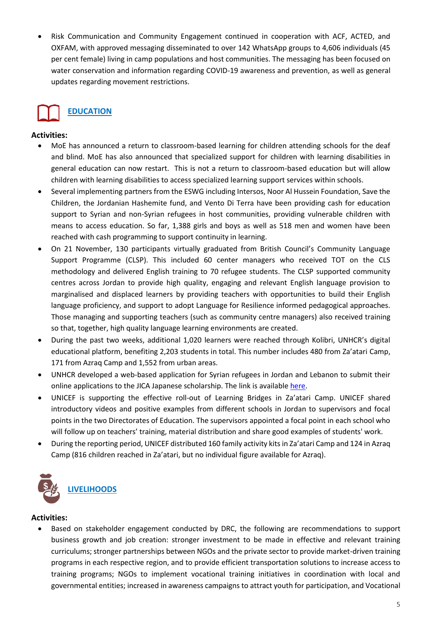• Risk Communication and Community Engagement continued in cooperation with ACF, ACTED, and OXFAM, with approved messaging disseminated to over 142 WhatsApp groups to 4,606 individuals (45 per cent female) living in camp populations and host communities. The messaging has been focused on water conservation and information regarding COVID-19 awareness and prevention, as well as general updates regarding movement restrictions.



### **Activities:**

- MoE has announced a return to classroom-based learning for children attending schools for the deaf and blind. MoE has also announced that specialized support for children with learning disabilities in general education can now restart. This is not a return to classroom-based education but will allow children with learning disabilities to access specialized learning support services within schools.
- Several implementing partners from the ESWG including Intersos, Noor Al Hussein Foundation, Save the Children, the Jordanian Hashemite fund, and Vento Di Terra have been providing cash for education support to Syrian and non-Syrian refugees in host communities, providing vulnerable children with means to access education. So far, 1,388 girls and boys as well as 518 men and women have been reached with cash programming to support continuity in learning.
- On 21 November, 130 participants virtually graduated from British Council's Community Language Support Programme (CLSP). This included 60 center managers who received TOT on the CLS methodology and delivered English training to 70 refugee students. The CLSP supported community centres across Jordan to provide high quality, engaging and relevant English language provision to marginalised and displaced learners by providing teachers with opportunities to build their English language proficiency, and support to adopt Language for Resilience informed pedagogical approaches. Those managing and supporting teachers (such as community centre managers) also received training so that, together, high quality language learning environments are created.
- During the past two weeks, additional 1,020 learners were reached through Kolibri, UNHCR's digital educational platform, benefiting 2,203 students in total. This number includes 480 from Za'atari Camp, 171 from Azraq Camp and 1,552 from urban areas.
- UNHCR developed a web-based application for Syrian refugees in Jordan and Lebanon to submit their online applications to the JICA Japanese scholarship. The link is available [here.](https://unhcr.io/JICA/)
- UNICEF is supporting the effective roll-out of Learning Bridges in Za'atari Camp. UNICEF shared introductory videos and positive examples from different schools in Jordan to supervisors and focal points in the two Directorates of Education. The supervisors appointed a focal point in each school who will follow up on teachers' training, material distribution and share good examples of students' work.
- During the reporting period, UNICEF distributed 160 family activity kits in Za'atari Camp and 124 in Azraq Camp (816 children reached in Za'atari, but no individual figure available for Azraq).



#### **Activities:**

Based on stakeholder engagement conducted by DRC, the following are recommendations to support business growth and job creation: stronger investment to be made in effective and relevant training curriculums; stronger partnerships between NGOs and the private sector to provide market-driven training programs in each respective region, and to provide efficient transportation solutions to increase access to training programs; NGOs to implement vocational training initiatives in coordination with local and governmental entities; increased in awareness campaigns to attract youth for participation, and Vocational